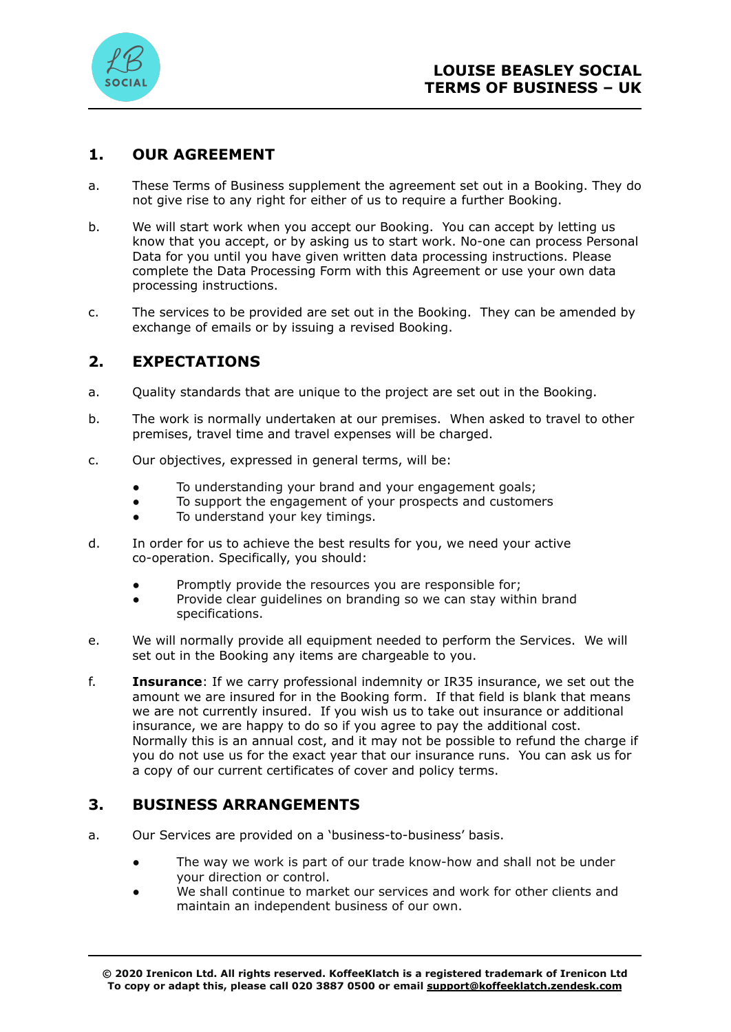

#### **1. OUR AGREEMENT**

- a. These Terms of Business supplement the agreement set out in a Booking. They do not give rise to any right for either of us to require a further Booking.
- b. We will start work when you accept our Booking. You can accept by letting us know that you accept, or by asking us to start work. No-one can process Personal Data for you until you have given written data processing instructions. Please complete the Data Processing Form with this Agreement or use your own data processing instructions.
- c. The services to be provided are set out in the Booking. They can be amended by exchange of emails or by issuing a revised Booking.

## **2. EXPECTATIONS**

- a. Quality standards that are unique to the project are set out in the Booking.
- b. The work is normally undertaken at our premises. When asked to travel to other premises, travel time and travel expenses will be charged.
- c. Our objectives, expressed in general terms, will be:
	- To understanding your brand and your engagement goals;
	- To support the engagement of your prospects and customers
	- To understand your key timings.
- d. In order for us to achieve the best results for you, we need your active co-operation. Specifically, you should:
	- Promptly provide the resources you are responsible for;
	- Provide clear guidelines on branding so we can stay within brand specifications.
- e. We will normally provide all equipment needed to perform the Services. We will set out in the Booking any items are chargeable to you.
- f. **Insurance**: If we carry professional indemnity or IR35 insurance, we set out the amount we are insured for in the Booking form. If that field is blank that means we are not currently insured. If you wish us to take out insurance or additional insurance, we are happy to do so if you agree to pay the additional cost. Normally this is an annual cost, and it may not be possible to refund the charge if you do not use us for the exact year that our insurance runs. You can ask us for a copy of our current certificates of cover and policy terms.

#### **3. BUSINESS ARRANGEMENTS**

- a. Our Services are provided on a 'business-to-business' basis.
	- The way we work is part of our trade know-how and shall not be under your direction or control.
	- We shall continue to market our services and work for other clients and maintain an independent business of our own.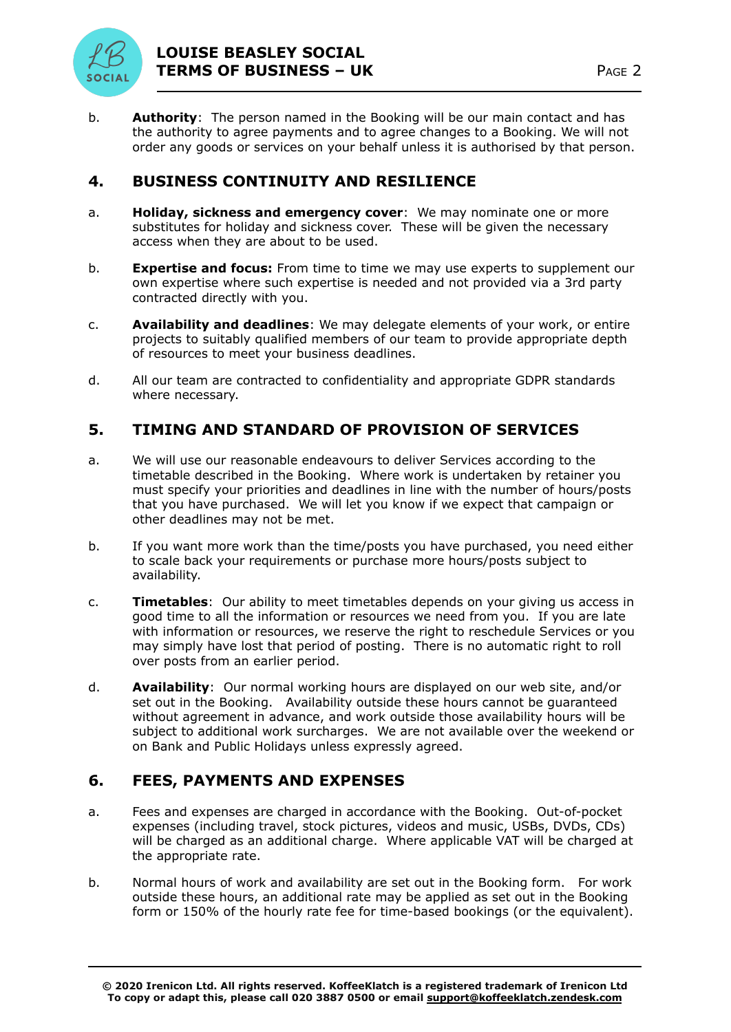

b. **Authority**: The person named in the Booking will be our main contact and has the authority to agree payments and to agree changes to a Booking. We will not order any goods or services on your behalf unless it is authorised by that person.

### **4. BUSINESS CONTINUITY AND RESILIENCE**

- a. **Holiday, sickness and emergency cover**: We may nominate one or more substitutes for holiday and sickness cover. These will be given the necessary access when they are about to be used.
- b. **Expertise and focus:** From time to time we may use experts to supplement our own expertise where such expertise is needed and not provided via a 3rd party contracted directly with you.
- c. **Availability and deadlines**: We may delegate elements of your work, or entire projects to suitably qualified members of our team to provide appropriate depth of resources to meet your business deadlines.
- d. All our team are contracted to confidentiality and appropriate GDPR standards where necessary.

# **5. TIMING AND STANDARD OF PROVISION OF SERVICES**

- a. We will use our reasonable endeavours to deliver Services according to the timetable described in the Booking. Where work is undertaken by retainer you must specify your priorities and deadlines in line with the number of hours/posts that you have purchased. We will let you know if we expect that campaign or other deadlines may not be met.
- b. If you want more work than the time/posts you have purchased, you need either to scale back your requirements or purchase more hours/posts subject to availability.
- c. **Timetables**: Our ability to meet timetables depends on your giving us access in good time to all the information or resources we need from you. If you are late with information or resources, we reserve the right to reschedule Services or you may simply have lost that period of posting. There is no automatic right to roll over posts from an earlier period.
- d. **Availability**: Our normal working hours are displayed on our web site, and/or set out in the Booking. Availability outside these hours cannot be guaranteed without agreement in advance, and work outside those availability hours will be subject to additional work surcharges. We are not available over the weekend or on Bank and Public Holidays unless expressly agreed.

# **6. FEES, PAYMENTS AND EXPENSES**

- a. Fees and expenses are charged in accordance with the Booking. Out-of-pocket expenses (including travel, stock pictures, videos and music, USBs, DVDs, CDs) will be charged as an additional charge. Where applicable VAT will be charged at the appropriate rate.
- b. Normal hours of work and availability are set out in the Booking form. For work outside these hours, an additional rate may be applied as set out in the Booking form or 150% of the hourly rate fee for time-based bookings (or the equivalent).

**<sup>©</sup> 2020 Irenicon Ltd. All rights reserved. KoffeeKlatch is a registered trademark of Irenicon Ltd To copy or adapt this, please call 020 3887 0500 or email [support@koffeeklatch.zendesk.com](mailto:support@koffeeklatch.zendesk.com)**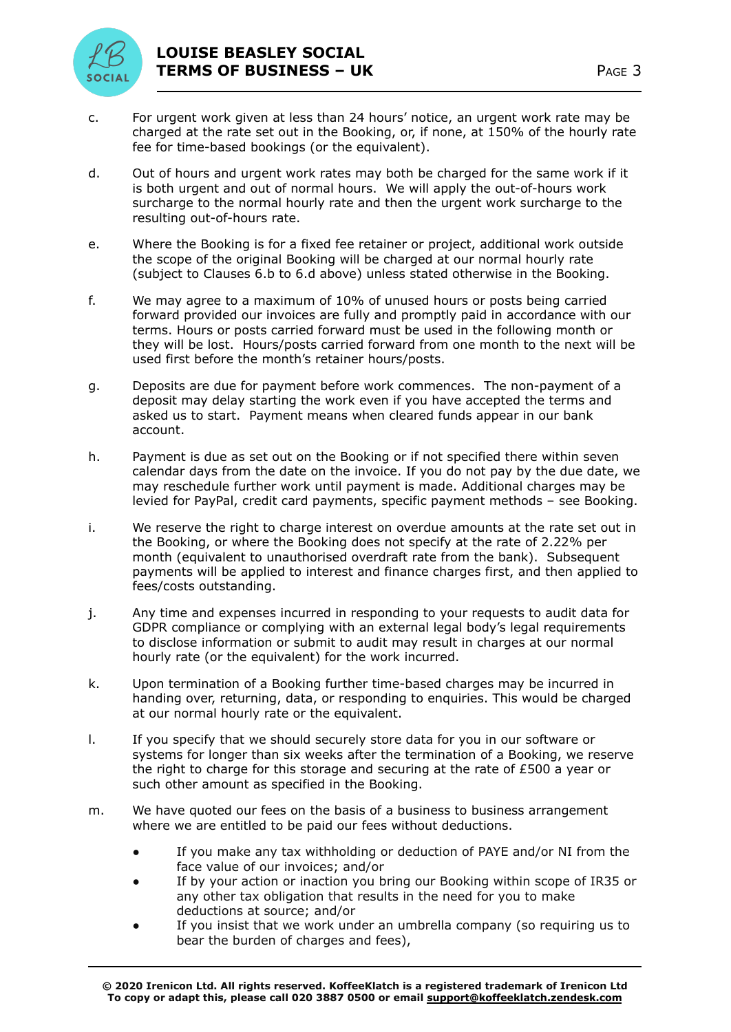

- c. For urgent work given at less than 24 hours' notice, an urgent work rate may be charged at the rate set out in the Booking, or, if none, at 150% of the hourly rate fee for time-based bookings (or the equivalent).
- d. Out of hours and urgent work rates may both be charged for the same work if it is both urgent and out of normal hours. We will apply the out-of-hours work surcharge to the normal hourly rate and then the urgent work surcharge to the resulting out-of-hours rate.
- e. Where the Booking is for a fixed fee retainer or project, additional work outside the scope of the original Booking will be charged at our normal hourly rate (subject to Clauses 6.b to 6.d above) unless stated otherwise in the Booking.
- f. We may agree to a maximum of 10% of unused hours or posts being carried forward provided our invoices are fully and promptly paid in accordance with our terms. Hours or posts carried forward must be used in the following month or they will be lost. Hours/posts carried forward from one month to the next will be used first before the month's retainer hours/posts.
- g. Deposits are due for payment before work commences. The non-payment of a deposit may delay starting the work even if you have accepted the terms and asked us to start. Payment means when cleared funds appear in our bank account.
- h. Payment is due as set out on the Booking or if not specified there within seven calendar days from the date on the invoice. If you do not pay by the due date, we may reschedule further work until payment is made. Additional charges may be levied for PayPal, credit card payments, specific payment methods – see Booking.
- i. We reserve the right to charge interest on overdue amounts at the rate set out in the Booking, or where the Booking does not specify at the rate of 2.22% per month (equivalent to unauthorised overdraft rate from the bank). Subsequent payments will be applied to interest and finance charges first, and then applied to fees/costs outstanding.
- j. Any time and expenses incurred in responding to your requests to audit data for GDPR compliance or complying with an external legal body's legal requirements to disclose information or submit to audit may result in charges at our normal hourly rate (or the equivalent) for the work incurred.
- k. Upon termination of a Booking further time-based charges may be incurred in handing over, returning, data, or responding to enquiries. This would be charged at our normal hourly rate or the equivalent.
- l. If you specify that we should securely store data for you in our software or systems for longer than six weeks after the termination of a Booking, we reserve the right to charge for this storage and securing at the rate of £500 a year or such other amount as specified in the Booking.
- m. We have quoted our fees on the basis of a business to business arrangement where we are entitled to be paid our fees without deductions.
	- If you make any tax withholding or deduction of PAYE and/or NI from the face value of our invoices; and/or
	- If by your action or inaction you bring our Booking within scope of IR35 or any other tax obligation that results in the need for you to make deductions at source; and/or
	- If you insist that we work under an umbrella company (so requiring us to bear the burden of charges and fees),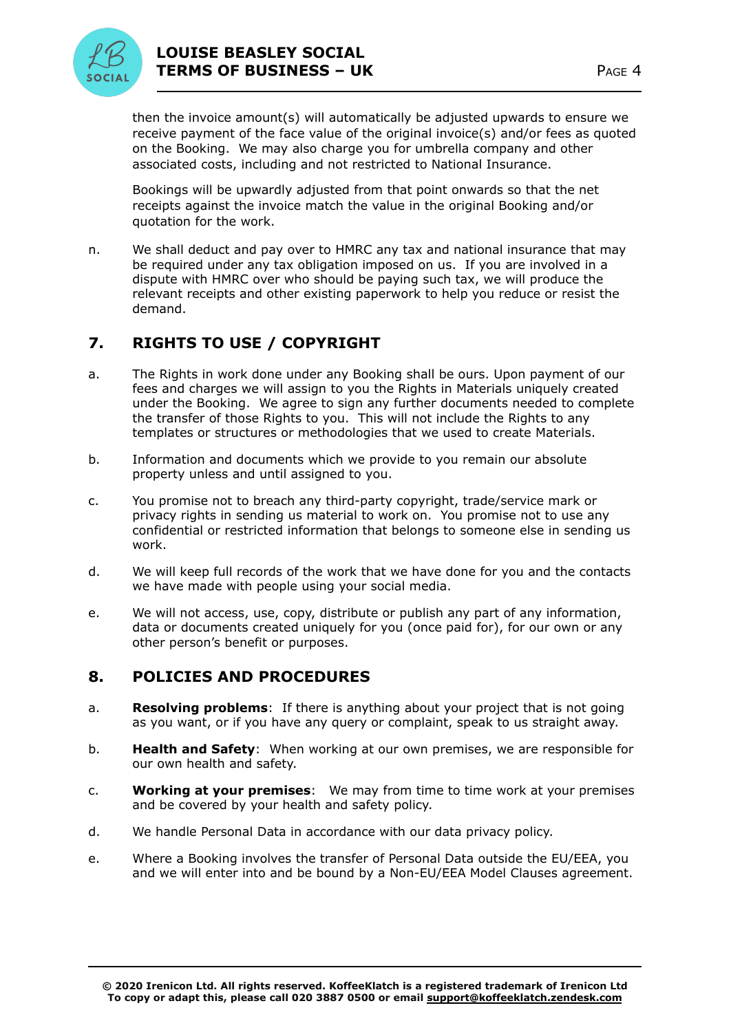

then the invoice amount(s) will automatically be adjusted upwards to ensure we receive payment of the face value of the original invoice(s) and/or fees as quoted on the Booking. We may also charge you for umbrella company and other associated costs, including and not restricted to National Insurance.

Bookings will be upwardly adjusted from that point onwards so that the net receipts against the invoice match the value in the original Booking and/or quotation for the work.

n. We shall deduct and pay over to HMRC any tax and national insurance that may be required under any tax obligation imposed on us. If you are involved in a dispute with HMRC over who should be paying such tax, we will produce the relevant receipts and other existing paperwork to help you reduce or resist the demand.

## **7. RIGHTS TO USE / COPYRIGHT**

- a. The Rights in work done under any Booking shall be ours. Upon payment of our fees and charges we will assign to you the Rights in Materials uniquely created under the Booking. We agree to sign any further documents needed to complete the transfer of those Rights to you. This will not include the Rights to any templates or structures or methodologies that we used to create Materials.
- b. Information and documents which we provide to you remain our absolute property unless and until assigned to you.
- c. You promise not to breach any third-party copyright, trade/service mark or privacy rights in sending us material to work on. You promise not to use any confidential or restricted information that belongs to someone else in sending us work.
- d. We will keep full records of the work that we have done for you and the contacts we have made with people using your social media.
- e. We will not access, use, copy, distribute or publish any part of any information, data or documents created uniquely for you (once paid for), for our own or any other person's benefit or purposes.

#### **8. POLICIES AND PROCEDURES**

- a. **Resolving problems**: If there is anything about your project that is not going as you want, or if you have any query or complaint, speak to us straight away.
- b. **Health and Safety**: When working at our own premises, we are responsible for our own health and safety.
- c. **Working at your premises**: We may from time to time work at your premises and be covered by your health and safety policy.
- d. We handle Personal Data in accordance with our data privacy policy.
- e. Where a Booking involves the transfer of Personal Data outside the EU/EEA, you and we will enter into and be bound by a Non-EU/EEA Model Clauses agreement.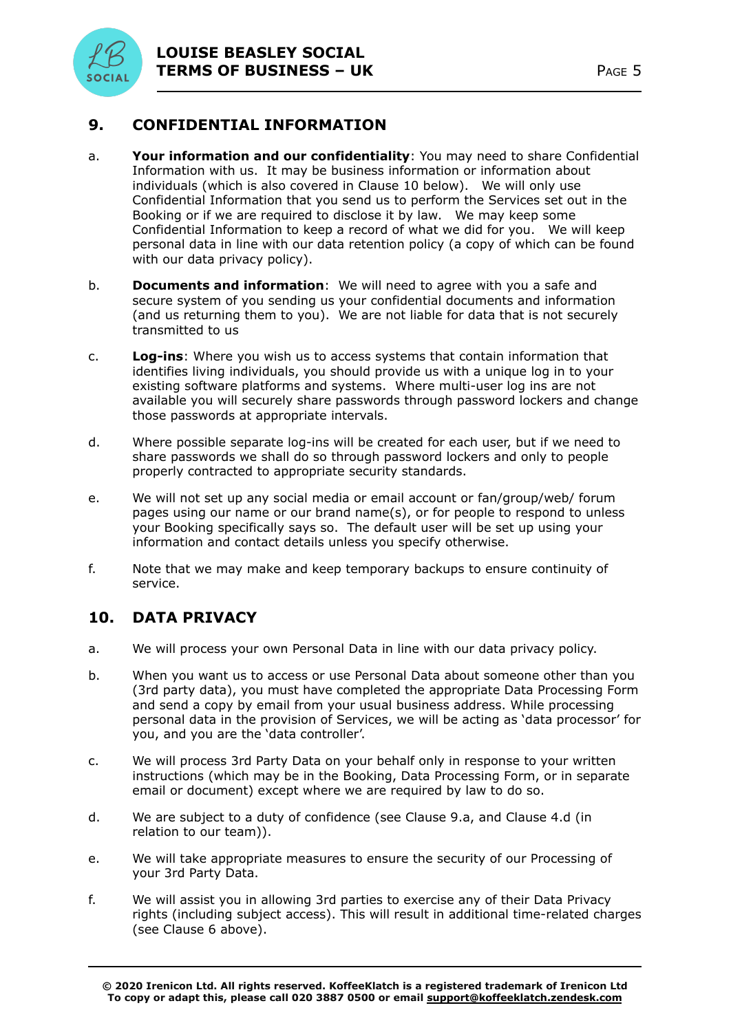

## **9. CONFIDENTIAL INFORMATION**

- a. **Your information and our confidentiality**: You may need to share Confidential Information with us. It may be business information or information about individuals (which is also covered in Clause 10 below). We will only use Confidential Information that you send us to perform the Services set out in the Booking or if we are required to disclose it by law. We may keep some Confidential Information to keep a record of what we did for you. We will keep personal data in line with our data retention policy (a copy of which can be found with our data privacy policy).
- b. **Documents and information**: We will need to agree with you a safe and secure system of you sending us your confidential documents and information (and us returning them to you). We are not liable for data that is not securely transmitted to us
- c. **Log-ins**: Where you wish us to access systems that contain information that identifies living individuals, you should provide us with a unique log in to your existing software platforms and systems. Where multi-user log ins are not available you will securely share passwords through password lockers and change those passwords at appropriate intervals.
- d. Where possible separate log-ins will be created for each user, but if we need to share passwords we shall do so through password lockers and only to people properly contracted to appropriate security standards.
- e. We will not set up any social media or email account or fan/group/web/ forum pages using our name or our brand name(s), or for people to respond to unless your Booking specifically says so. The default user will be set up using your information and contact details unless you specify otherwise.
- f. Note that we may make and keep temporary backups to ensure continuity of service.

#### **10. DATA PRIVACY**

- a. We will process your own Personal Data in line with our data privacy policy.
- b. When you want us to access or use Personal Data about someone other than you (3rd party data), you must have completed the appropriate Data Processing Form and send a copy by email from your usual business address. While processing personal data in the provision of Services, we will be acting as 'data processor' for you, and you are the 'data controller'.
- c. We will process 3rd Party Data on your behalf only in response to your written instructions (which may be in the Booking, Data Processing Form, or in separate email or document) except where we are required by law to do so.
- d. We are subject to a duty of confidence (see Clause 9.a, and Clause 4.d (in relation to our team)).
- e. We will take appropriate measures to ensure the security of our Processing of your 3rd Party Data.
- f. We will assist you in allowing 3rd parties to exercise any of their Data Privacy rights (including subject access). This will result in additional time-related charges (see Clause 6 above).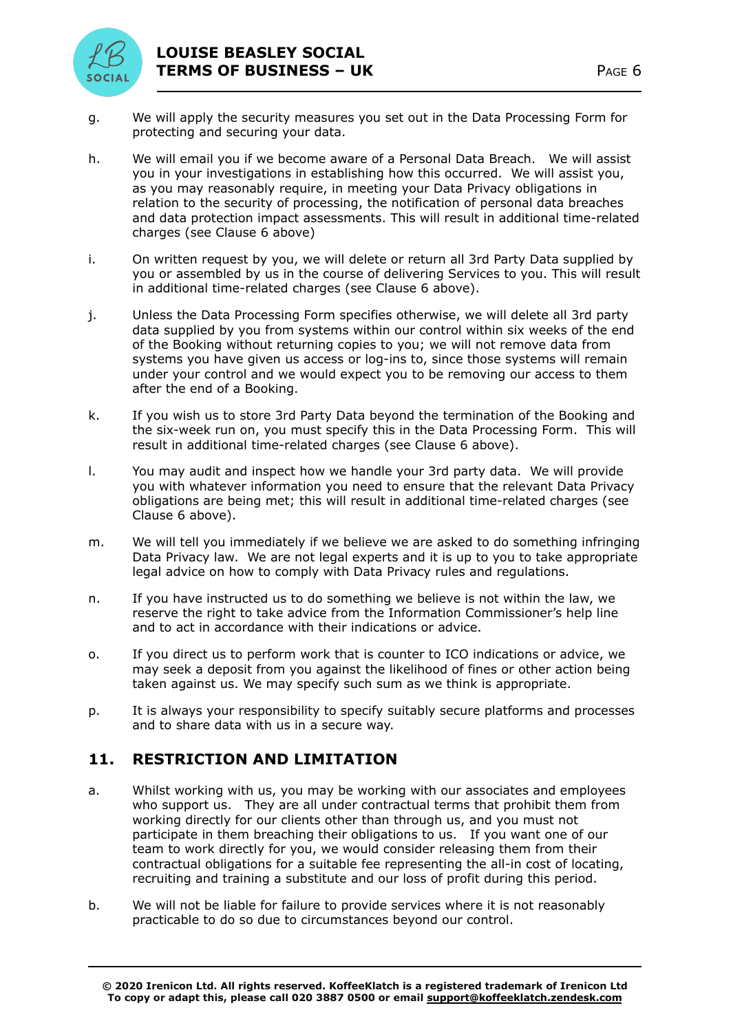

- **TERMS OF BUSINESS UK** PAGE 6
- g. We will apply the security measures you set out in the Data Processing Form for protecting and securing your data.
- h. We will email you if we become aware of a Personal Data Breach. We will assist you in your investigations in establishing how this occurred. We will assist you, as you may reasonably require, in meeting your Data Privacy obligations in relation to the security of processing, the notification of personal data breaches and data protection impact assessments. This will result in additional time-related charges (see Clause 6 above)
- i. On written request by you, we will delete or return all 3rd Party Data supplied by you or assembled by us in the course of delivering Services to you. This will result in additional time-related charges (see Clause 6 above).
- j. Unless the Data Processing Form specifies otherwise, we will delete all 3rd party data supplied by you from systems within our control within six weeks of the end of the Booking without returning copies to you; we will not remove data from systems you have given us access or log-ins to, since those systems will remain under your control and we would expect you to be removing our access to them after the end of a Booking.
- k. If you wish us to store 3rd Party Data beyond the termination of the Booking and the six-week run on, you must specify this in the Data Processing Form. This will result in additional time-related charges (see Clause 6 above).
- l. You may audit and inspect how we handle your 3rd party data. We will provide you with whatever information you need to ensure that the relevant Data Privacy obligations are being met; this will result in additional time-related charges (see Clause 6 above).
- m. We will tell you immediately if we believe we are asked to do something infringing Data Privacy law. We are not legal experts and it is up to you to take appropriate legal advice on how to comply with Data Privacy rules and regulations.
- n. If you have instructed us to do something we believe is not within the law, we reserve the right to take advice from the Information Commissioner's help line and to act in accordance with their indications or advice.
- o. If you direct us to perform work that is counter to ICO indications or advice, we may seek a deposit from you against the likelihood of fines or other action being taken against us. We may specify such sum as we think is appropriate.
- p. It is always your responsibility to specify suitably secure platforms and processes and to share data with us in a secure way.

#### **11. RESTRICTION AND LIMITATION**

- a. Whilst working with us, you may be working with our associates and employees who support us. They are all under contractual terms that prohibit them from working directly for our clients other than through us, and you must not participate in them breaching their obligations to us. If you want one of our team to work directly for you, we would consider releasing them from their contractual obligations for a suitable fee representing the all-in cost of locating, recruiting and training a substitute and our loss of profit during this period.
- b. We will not be liable for failure to provide services where it is not reasonably practicable to do so due to circumstances beyond our control.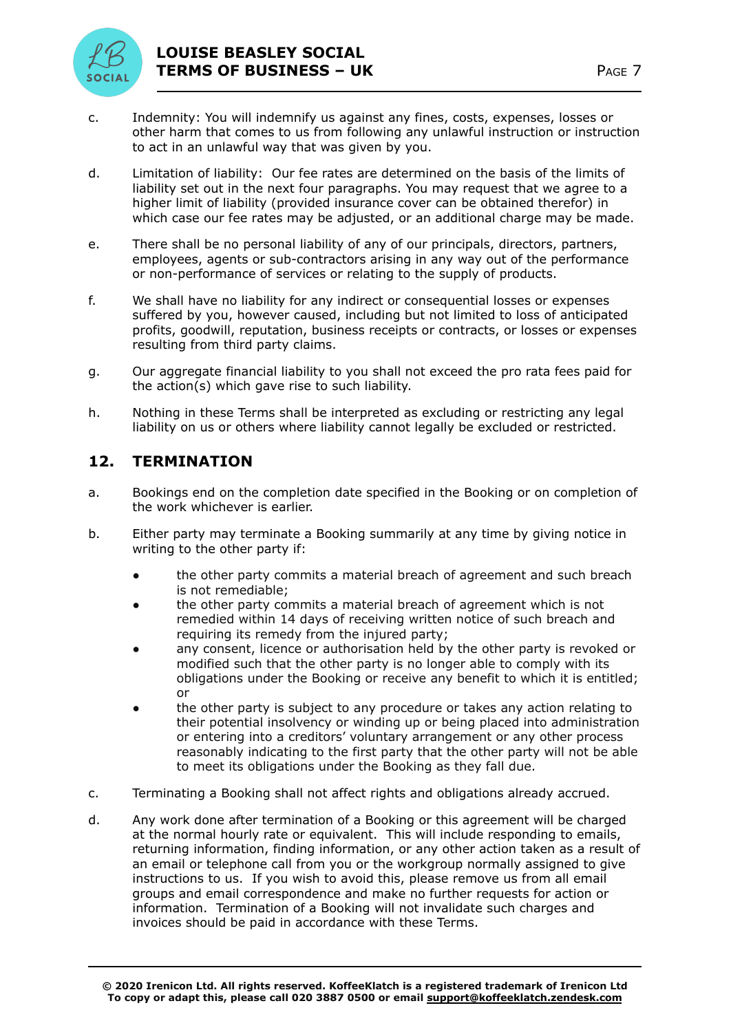

- c. Indemnity: You will indemnify us against any fines, costs, expenses, losses or other harm that comes to us from following any unlawful instruction or instruction to act in an unlawful way that was given by you.
- d. Limitation of liability: Our fee rates are determined on the basis of the limits of liability set out in the next four paragraphs. You may request that we agree to a higher limit of liability (provided insurance cover can be obtained therefor) in which case our fee rates may be adjusted, or an additional charge may be made.
- e. There shall be no personal liability of any of our principals, directors, partners, employees, agents or sub-contractors arising in any way out of the performance or non-performance of services or relating to the supply of products.
- f. We shall have no liability for any indirect or consequential losses or expenses suffered by you, however caused, including but not limited to loss of anticipated profits, goodwill, reputation, business receipts or contracts, or losses or expenses resulting from third party claims.
- g. Our aggregate financial liability to you shall not exceed the pro rata fees paid for the action(s) which gave rise to such liability.
- h. Nothing in these Terms shall be interpreted as excluding or restricting any legal liability on us or others where liability cannot legally be excluded or restricted.

#### **12. TERMINATION**

- a. Bookings end on the completion date specified in the Booking or on completion of the work whichever is earlier.
- b. Either party may terminate a Booking summarily at any time by giving notice in writing to the other party if:
	- the other party commits a material breach of agreement and such breach is not remediable;
	- the other party commits a material breach of agreement which is not remedied within 14 days of receiving written notice of such breach and requiring its remedy from the injured party;
	- any consent, licence or authorisation held by the other party is revoked or modified such that the other party is no longer able to comply with its obligations under the Booking or receive any benefit to which it is entitled; or
	- the other party is subject to any procedure or takes any action relating to their potential insolvency or winding up or being placed into administration or entering into a creditors' voluntary arrangement or any other process reasonably indicating to the first party that the other party will not be able to meet its obligations under the Booking as they fall due.
- c. Terminating a Booking shall not affect rights and obligations already accrued.
- d. Any work done after termination of a Booking or this agreement will be charged at the normal hourly rate or equivalent. This will include responding to emails, returning information, finding information, or any other action taken as a result of an email or telephone call from you or the workgroup normally assigned to give instructions to us. If you wish to avoid this, please remove us from all email groups and email correspondence and make no further requests for action or information. Termination of a Booking will not invalidate such charges and invoices should be paid in accordance with these Terms.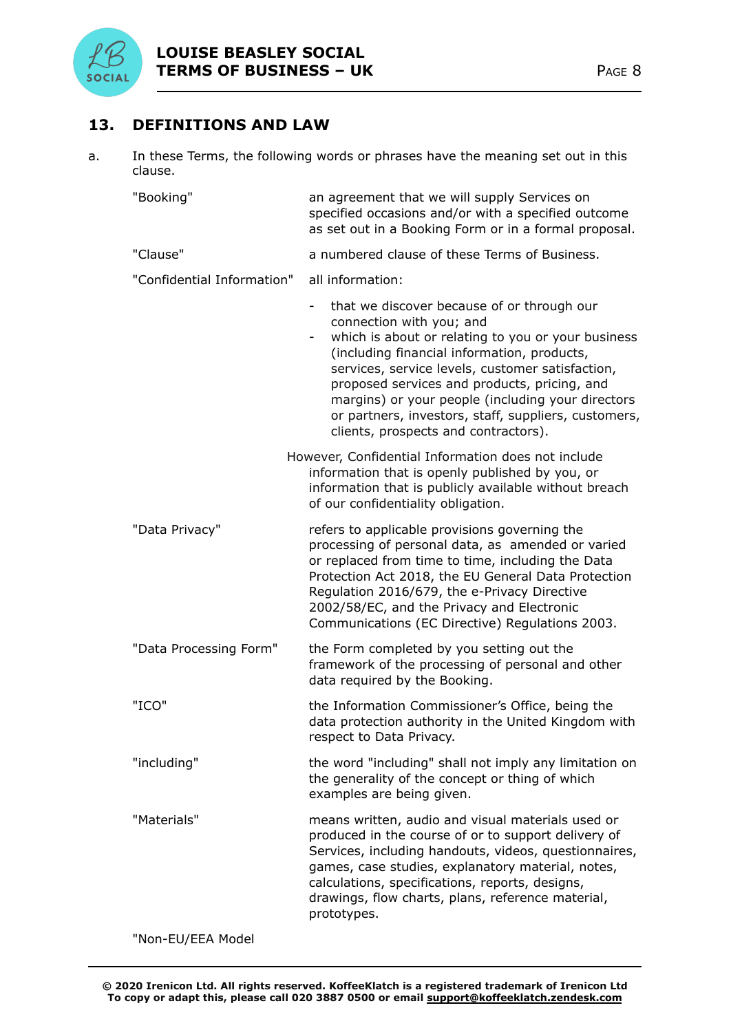

## **13. DEFINITIONS AND LAW**

a. In these Terms, the following words or phrases have the meaning set out in this clause.

| "Booking"                  | an agreement that we will supply Services on<br>specified occasions and/or with a specified outcome<br>as set out in a Booking Form or in a formal proposal.                                                                                                                                                                                                                                                                         |
|----------------------------|--------------------------------------------------------------------------------------------------------------------------------------------------------------------------------------------------------------------------------------------------------------------------------------------------------------------------------------------------------------------------------------------------------------------------------------|
| "Clause"                   | a numbered clause of these Terms of Business.                                                                                                                                                                                                                                                                                                                                                                                        |
| "Confidential Information" | all information:                                                                                                                                                                                                                                                                                                                                                                                                                     |
|                            | that we discover because of or through our<br>connection with you; and<br>which is about or relating to you or your business<br>(including financial information, products,<br>services, service levels, customer satisfaction,<br>proposed services and products, pricing, and<br>margins) or your people (including your directors<br>or partners, investors, staff, suppliers, customers,<br>clients, prospects and contractors). |
|                            | However, Confidential Information does not include<br>information that is openly published by you, or<br>information that is publicly available without breach<br>of our confidentiality obligation.                                                                                                                                                                                                                                 |
| "Data Privacy"             | refers to applicable provisions governing the<br>processing of personal data, as amended or varied<br>or replaced from time to time, including the Data<br>Protection Act 2018, the EU General Data Protection<br>Regulation 2016/679, the e-Privacy Directive<br>2002/58/EC, and the Privacy and Electronic<br>Communications (EC Directive) Regulations 2003.                                                                      |
| "Data Processing Form"     | the Form completed by you setting out the<br>framework of the processing of personal and other<br>data required by the Booking.                                                                                                                                                                                                                                                                                                      |
| "ICO"                      | the Information Commissioner's Office, being the<br>data protection authority in the United Kingdom with<br>respect to Data Privacy.                                                                                                                                                                                                                                                                                                 |
| "including"                | the word "including" shall not imply any limitation on<br>the generality of the concept or thing of which<br>examples are being given.                                                                                                                                                                                                                                                                                               |
| "Materials"                | means written, audio and visual materials used or<br>produced in the course of or to support delivery of<br>Services, including handouts, videos, questionnaires,<br>games, case studies, explanatory material, notes,<br>calculations, specifications, reports, designs,<br>drawings, flow charts, plans, reference material,<br>prototypes.                                                                                        |

"Non-EU/EEA Model